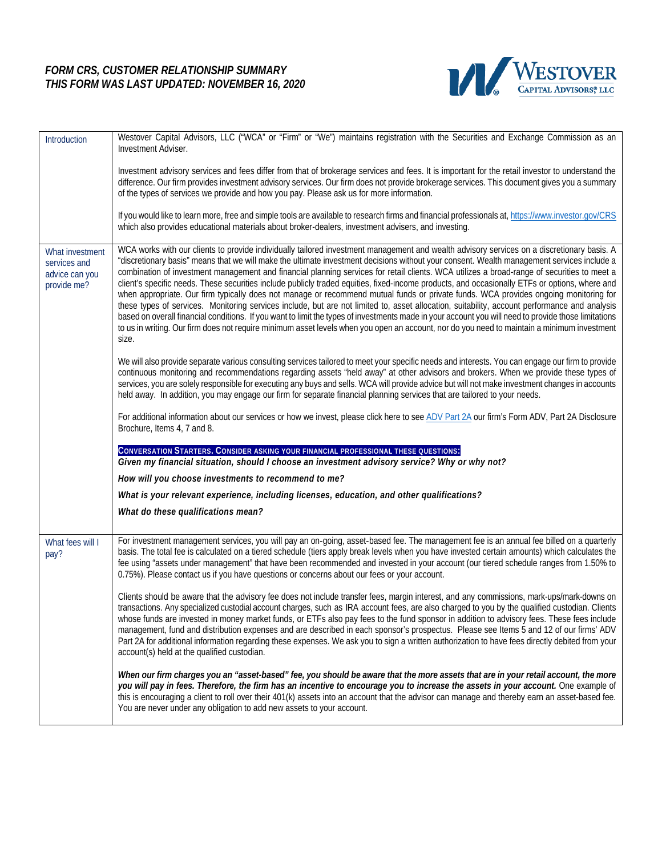## *FORM CRS, CUSTOMER RELATIONSHIP SUMMARY THIS FORM WAS LAST UPDATED: NOVEMBER 16, 2020*



| Introduction                                                     | Westover Capital Advisors, LLC ("WCA" or "Firm" or "We") maintains registration with the Securities and Exchange Commission as an<br>Investment Adviser.                                                                                                                                                                                                                                                                                                                                                                                                                                                                                                                                                                                                                                                                                                                                                                                                                                                                                                                                                                                                                                           |
|------------------------------------------------------------------|----------------------------------------------------------------------------------------------------------------------------------------------------------------------------------------------------------------------------------------------------------------------------------------------------------------------------------------------------------------------------------------------------------------------------------------------------------------------------------------------------------------------------------------------------------------------------------------------------------------------------------------------------------------------------------------------------------------------------------------------------------------------------------------------------------------------------------------------------------------------------------------------------------------------------------------------------------------------------------------------------------------------------------------------------------------------------------------------------------------------------------------------------------------------------------------------------|
|                                                                  | Investment advisory services and fees differ from that of brokerage services and fees. It is important for the retail investor to understand the<br>difference. Our firm provides investment advisory services. Our firm does not provide brokerage services. This document gives you a summary<br>of the types of services we provide and how you pay. Please ask us for more information.                                                                                                                                                                                                                                                                                                                                                                                                                                                                                                                                                                                                                                                                                                                                                                                                        |
|                                                                  | If you would like to learn more, free and simple tools are available to research firms and financial professionals at, https://www.investor.gov/CRS<br>which also provides educational materials about broker-dealers, investment advisers, and investing.                                                                                                                                                                                                                                                                                                                                                                                                                                                                                                                                                                                                                                                                                                                                                                                                                                                                                                                                         |
| What investment<br>services and<br>advice can you<br>provide me? | WCA works with our clients to provide individually tailored investment management and wealth advisory services on a discretionary basis. A<br>"discretionary basis" means that we will make the ultimate investment decisions without your consent. Wealth management services include a<br>combination of investment management and financial planning services for retail clients. WCA utilizes a broad-range of securities to meet a<br>client's specific needs. These securities include publicly traded equities, fixed-income products, and occasionally ETFs or options, where and<br>when appropriate. Our firm typically does not manage or recommend mutual funds or private funds. WCA provides ongoing monitoring for<br>these types of services. Monitoring services include, but are not limited to, asset allocation, suitability, account performance and analysis<br>based on overall financial conditions. If you want to limit the types of investments made in your account you will need to provide those limitations<br>to us in writing. Our firm does not require minimum asset levels when you open an account, nor do you need to maintain a minimum investment<br>size. |
|                                                                  | We will also provide separate various consulting services tailored to meet your specific needs and interests. You can engage our firm to provide<br>continuous monitoring and recommendations regarding assets "held away" at other advisors and brokers. When we provide these types of<br>services, you are solely responsible for executing any buys and sells. WCA will provide advice but will not make investment changes in accounts<br>held away. In addition, you may engage our firm for separate financial planning services that are tailored to your needs.                                                                                                                                                                                                                                                                                                                                                                                                                                                                                                                                                                                                                           |
|                                                                  | For additional information about our services or how we invest, please click here to see ADV Part 2A our firm's Form ADV, Part 2A Disclosure<br>Brochure, Items 4, 7 and 8.                                                                                                                                                                                                                                                                                                                                                                                                                                                                                                                                                                                                                                                                                                                                                                                                                                                                                                                                                                                                                        |
|                                                                  | CONVERSATION STARTERS. CONSIDER ASKING YOUR FINANCIAL PROFESSIONAL THESE QUESTIONS:<br>Given my financial situation, should I choose an investment advisory service? Why or why not?                                                                                                                                                                                                                                                                                                                                                                                                                                                                                                                                                                                                                                                                                                                                                                                                                                                                                                                                                                                                               |
|                                                                  | How will you choose investments to recommend to me?                                                                                                                                                                                                                                                                                                                                                                                                                                                                                                                                                                                                                                                                                                                                                                                                                                                                                                                                                                                                                                                                                                                                                |
|                                                                  | What is your relevant experience, including licenses, education, and other qualifications?                                                                                                                                                                                                                                                                                                                                                                                                                                                                                                                                                                                                                                                                                                                                                                                                                                                                                                                                                                                                                                                                                                         |
|                                                                  | What do these qualifications mean?                                                                                                                                                                                                                                                                                                                                                                                                                                                                                                                                                                                                                                                                                                                                                                                                                                                                                                                                                                                                                                                                                                                                                                 |
| What fees will I<br>pay?                                         | For investment management services, you will pay an on-going, asset-based fee. The management fee is an annual fee billed on a quarterly<br>basis. The total fee is calculated on a tiered schedule (tiers apply break levels when you have invested certain amounts) which calculates the<br>fee using "assets under management" that have been recommended and invested in your account (our tiered schedule ranges from 1.50% to<br>0.75%). Please contact us if you have questions or concerns about our fees or your account.                                                                                                                                                                                                                                                                                                                                                                                                                                                                                                                                                                                                                                                                 |
|                                                                  | Clients should be aware that the advisory fee does not include transfer fees, margin interest, and any commissions, mark-ups/mark-downs on<br>transactions. Any specialized custodial account charges, such as IRA account fees, are also charged to you by the qualified custodian. Clients<br>whose funds are invested in money market funds, or ETFs also pay fees to the fund sponsor in addition to advisory fees. These fees include<br>management, fund and distribution expenses and are described in each sponsor's prospectus. Please see Items 5 and 12 of our firms' ADV<br>Part 2A for additional information regarding these expenses. We ask you to sign a written authorization to have fees directly debited from your<br>account(s) held at the qualified custodian.                                                                                                                                                                                                                                                                                                                                                                                                             |
|                                                                  | When our firm charges you an "asset-based" fee, you should be aware that the more assets that are in your retail account, the more<br>you will pay in fees. Therefore, the firm has an incentive to encourage you to increase the assets in your account. One example of<br>this is encouraging a client to roll over their 401(k) assets into an account that the advisor can manage and thereby earn an asset-based fee.<br>You are never under any obligation to add new assets to your account.                                                                                                                                                                                                                                                                                                                                                                                                                                                                                                                                                                                                                                                                                                |